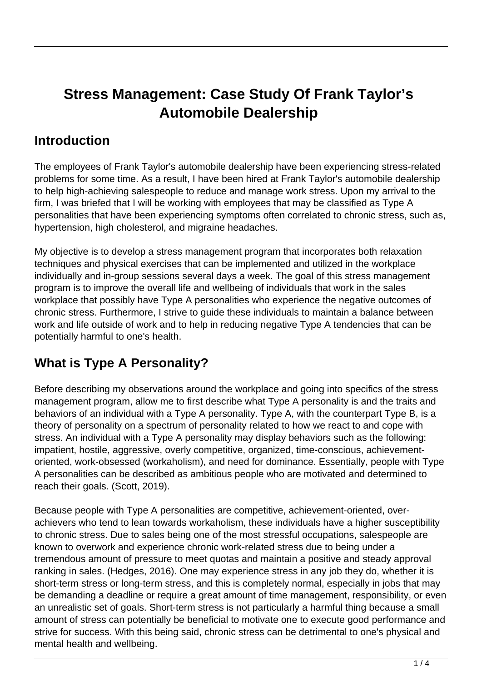# **Stress Management: Case Study Of Frank Taylor's Automobile Dealership**

### **Introduction**

The employees of Frank Taylor's automobile dealership have been experiencing stress-related problems for some time. As a result, I have been hired at Frank Taylor's automobile dealership to help high-achieving salespeople to reduce and manage work stress. Upon my arrival to the firm, I was briefed that I will be working with employees that may be classified as Type A personalities that have been experiencing symptoms often correlated to chronic stress, such as, hypertension, high cholesterol, and migraine headaches.

My objective is to develop a stress management program that incorporates both relaxation techniques and physical exercises that can be implemented and utilized in the workplace individually and in-group sessions several days a week. The goal of this stress management program is to improve the overall life and wellbeing of individuals that work in the sales workplace that possibly have Type A personalities who experience the negative outcomes of chronic stress. Furthermore, I strive to guide these individuals to maintain a balance between work and life outside of work and to help in reducing negative Type A tendencies that can be potentially harmful to one's health.

## **What is Type A Personality?**

Before describing my observations around the workplace and going into specifics of the stress management program, allow me to first describe what Type A personality is and the traits and behaviors of an individual with a Type A personality. Type A, with the counterpart Type B, is a theory of personality on a spectrum of personality related to how we react to and cope with stress. An individual with a Type A personality may display behaviors such as the following: impatient, hostile, aggressive, overly competitive, organized, time-conscious, achievementoriented, work-obsessed (workaholism), and need for dominance. Essentially, people with Type A personalities can be described as ambitious people who are motivated and determined to reach their goals. (Scott, 2019).

Because people with Type A personalities are competitive, achievement-oriented, overachievers who tend to lean towards workaholism, these individuals have a higher susceptibility to chronic stress. Due to sales being one of the most stressful occupations, salespeople are known to overwork and experience chronic work-related stress due to being under a tremendous amount of pressure to meet quotas and maintain a positive and steady approval ranking in sales. (Hedges, 2016). One may experience stress in any job they do, whether it is short-term stress or long-term stress, and this is completely normal, especially in jobs that may be demanding a deadline or require a great amount of time management, responsibility, or even an unrealistic set of goals. Short-term stress is not particularly a harmful thing because a small amount of stress can potentially be beneficial to motivate one to execute good performance and strive for success. With this being said, chronic stress can be detrimental to one's physical and mental health and wellbeing.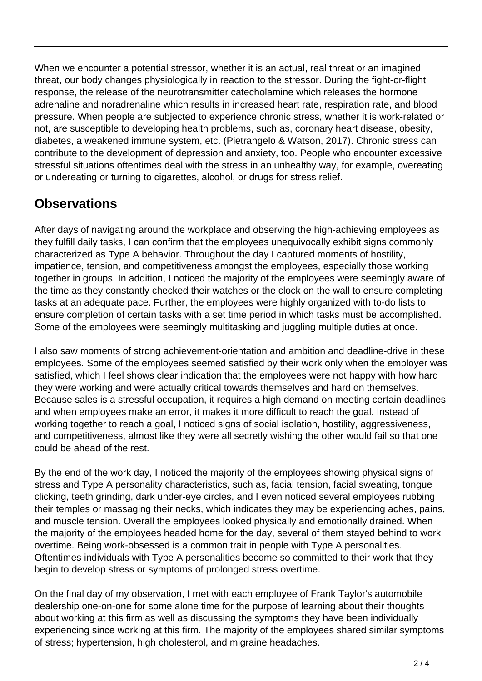When we encounter a potential stressor, whether it is an actual, real threat or an imagined threat, our body changes physiologically in reaction to the stressor. During the fight-or-flight response, the release of the neurotransmitter catecholamine which releases the hormone adrenaline and noradrenaline which results in increased heart rate, respiration rate, and blood pressure. When people are subjected to experience chronic stress, whether it is work-related or not, are susceptible to developing health problems, such as, coronary heart disease, obesity, diabetes, a weakened immune system, etc. (Pietrangelo & Watson, 2017). Chronic stress can contribute to the development of depression and anxiety, too. People who encounter excessive stressful situations oftentimes deal with the stress in an unhealthy way, for example, overeating or undereating or turning to cigarettes, alcohol, or drugs for stress relief.

## **Observations**

After days of navigating around the workplace and observing the high-achieving employees as they fulfill daily tasks, I can confirm that the employees unequivocally exhibit signs commonly characterized as Type A behavior. Throughout the day I captured moments of hostility, impatience, tension, and competitiveness amongst the employees, especially those working together in groups. In addition, I noticed the majority of the employees were seemingly aware of the time as they constantly checked their watches or the clock on the wall to ensure completing tasks at an adequate pace. Further, the employees were highly organized with to-do lists to ensure completion of certain tasks with a set time period in which tasks must be accomplished. Some of the employees were seemingly multitasking and juggling multiple duties at once.

I also saw moments of strong achievement-orientation and ambition and deadline-drive in these employees. Some of the employees seemed satisfied by their work only when the employer was satisfied, which I feel shows clear indication that the employees were not happy with how hard they were working and were actually critical towards themselves and hard on themselves. Because sales is a stressful occupation, it requires a high demand on meeting certain deadlines and when employees make an error, it makes it more difficult to reach the goal. Instead of working together to reach a goal, I noticed signs of social isolation, hostility, aggressiveness, and competitiveness, almost like they were all secretly wishing the other would fail so that one could be ahead of the rest.

By the end of the work day, I noticed the majority of the employees showing physical signs of stress and Type A personality characteristics, such as, facial tension, facial sweating, tongue clicking, teeth grinding, dark under-eye circles, and I even noticed several employees rubbing their temples or massaging their necks, which indicates they may be experiencing aches, pains, and muscle tension. Overall the employees looked physically and emotionally drained. When the majority of the employees headed home for the day, several of them stayed behind to work overtime. Being work-obsessed is a common trait in people with Type A personalities. Oftentimes individuals with Type A personalities become so committed to their work that they begin to develop stress or symptoms of prolonged stress overtime.

On the final day of my observation, I met with each employee of Frank Taylor's automobile dealership one-on-one for some alone time for the purpose of learning about their thoughts about working at this firm as well as discussing the symptoms they have been individually experiencing since working at this firm. The majority of the employees shared similar symptoms of stress; hypertension, high cholesterol, and migraine headaches.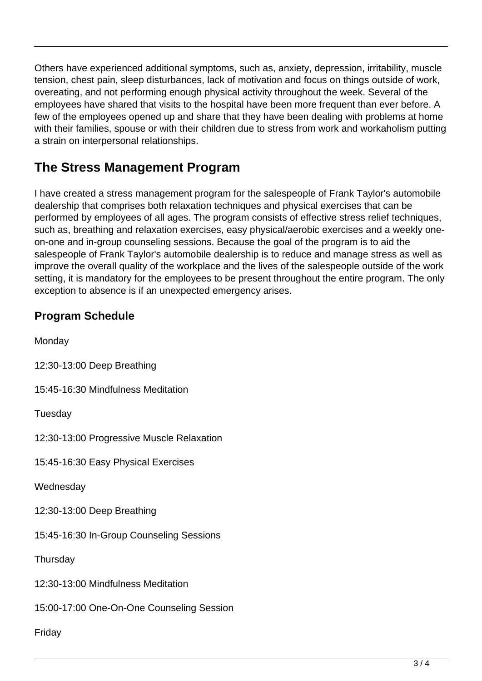Others have experienced additional symptoms, such as, anxiety, depression, irritability, muscle tension, chest pain, sleep disturbances, lack of motivation and focus on things outside of work, overeating, and not performing enough physical activity throughout the week. Several of the employees have shared that visits to the hospital have been more frequent than ever before. A few of the employees opened up and share that they have been dealing with problems at home with their families, spouse or with their children due to stress from work and workaholism putting a strain on interpersonal relationships.

## **The Stress Management Program**

I have created a stress management program for the salespeople of Frank Taylor's automobile dealership that comprises both relaxation techniques and physical exercises that can be performed by employees of all ages. The program consists of effective stress relief techniques, such as, breathing and relaxation exercises, easy physical/aerobic exercises and a weekly oneon-one and in-group counseling sessions. Because the goal of the program is to aid the salespeople of Frank Taylor's automobile dealership is to reduce and manage stress as well as improve the overall quality of the workplace and the lives of the salespeople outside of the work setting, it is mandatory for the employees to be present throughout the entire program. The only exception to absence is if an unexpected emergency arises.

#### **Program Schedule**

**Monday** 

12:30-13:00 Deep Breathing

15:45-16:30 Mindfulness Meditation

**Tuesday** 

12:30-13:00 Progressive Muscle Relaxation

15:45-16:30 Easy Physical Exercises

**Wednesday** 

12:30-13:00 Deep Breathing

15:45-16:30 In-Group Counseling Sessions

**Thursday** 

12:30-13:00 Mindfulness Meditation

15:00-17:00 One-On-One Counseling Session

Friday